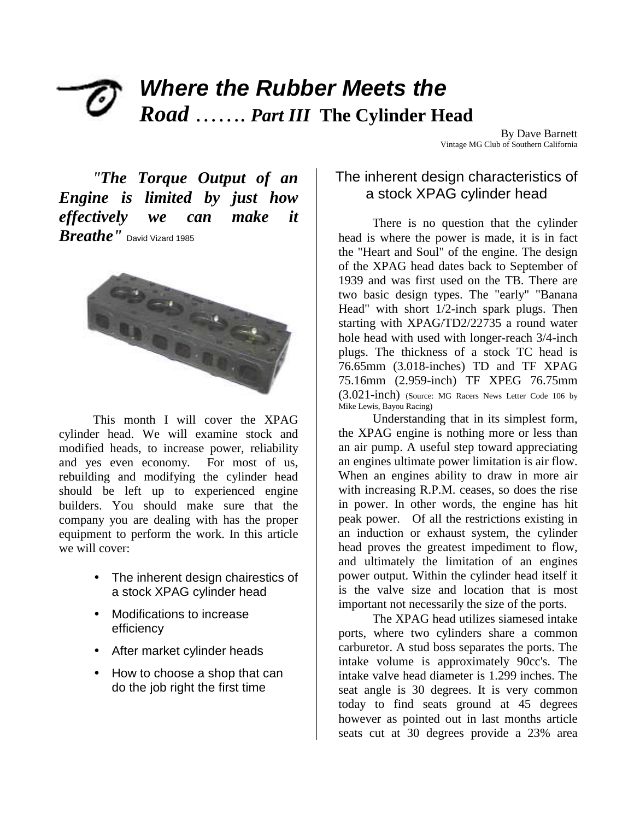# *Where the Rubber Meets the Road* ……. *Part III* **The Cylinder Head**

By Dave Barnett Vintage MG Club of Southern California

*"The Torque Output of an Engine is limited by just how effectively we can make it Breathe"* David Vizard 1985



This month I will cover the XPAG cylinder head. We will examine stock and modified heads, to increase power, reliability and yes even economy. For most of us, rebuilding and modifying the cylinder head should be left up to experienced engine builders. You should make sure that the company you are dealing with has the proper equipment to perform the work. In this article we will cover:

- The inherent design chairestics of a stock XPAG cylinder head
- Modifications to increase efficiency
- After market cylinder heads
- How to choose a shop that can do the job right the first time

## The inherent design characteristics of a stock XPAG cylinder head

There is no question that the cylinder head is where the power is made, it is in fact the "Heart and Soul" of the engine. The design of the XPAG head dates back to September of 1939 and was first used on the TB. There are two basic design types. The "early" "Banana Head" with short 1/2-inch spark plugs. Then starting with XPAG/TD2/22735 a round water hole head with used with longer-reach 3/4-inch plugs. The thickness of a stock TC head is 76.65mm (3.018-inches) TD and TF XPAG 75.16mm (2.959-inch) TF XPEG 76.75mm (3.021-inch) (Source: MG Racers News Letter Code 106 by Mike Lewis, Bayou Racing)

Understanding that in its simplest form, the XPAG engine is nothing more or less than an air pump. A useful step toward appreciating an engines ultimate power limitation is air flow. When an engines ability to draw in more air with increasing R.P.M. ceases, so does the rise in power. In other words, the engine has hit peak power. Of all the restrictions existing in an induction or exhaust system, the cylinder head proves the greatest impediment to flow, and ultimately the limitation of an engines power output. Within the cylinder head itself it is the valve size and location that is most important not necessarily the size of the ports.

The XPAG head utilizes siamesed intake ports, where two cylinders share a common carburetor. A stud boss separates the ports. The intake volume is approximately 90cc's. The intake valve head diameter is 1.299 inches. The seat angle is 30 degrees. It is very common today to find seats ground at 45 degrees however as pointed out in last months article seats cut at 30 degrees provide a 23% area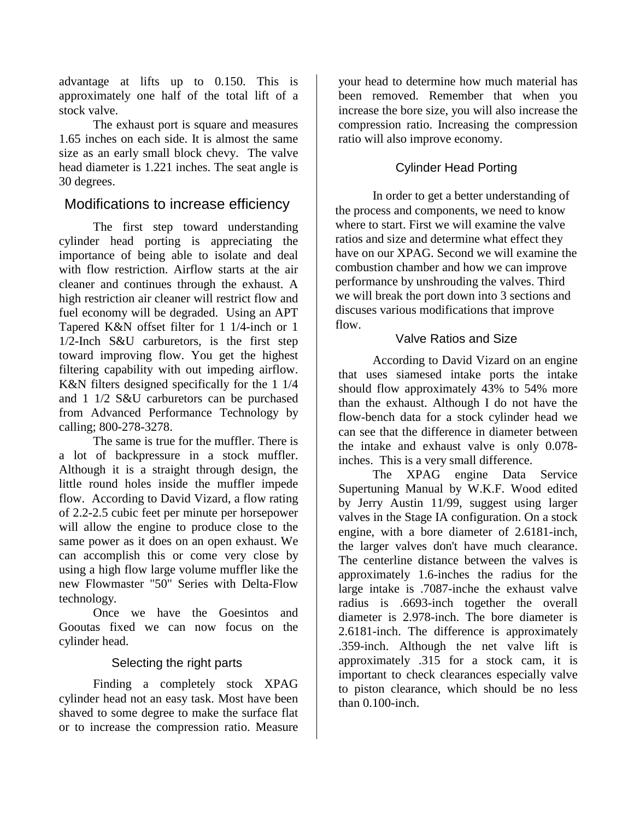advantage at lifts up to 0.150. This is approximately one half of the total lift of a stock valve.

The exhaust port is square and measures 1.65 inches on each side. It is almost the same size as an early small block chevy. The valve head diameter is 1.221 inches. The seat angle is 30 degrees.

## Modifications to increase efficiency

The first step toward understanding cylinder head porting is appreciating the importance of being able to isolate and deal with flow restriction. Airflow starts at the air cleaner and continues through the exhaust. A high restriction air cleaner will restrict flow and fuel economy will be degraded. Using an APT Tapered K&N offset filter for 1 1/4-inch or 1 1/2-Inch S&U carburetors, is the first step toward improving flow. You get the highest filtering capability with out impeding airflow. K&N filters designed specifically for the 1 1/4 and 1 1/2 S&U carburetors can be purchased from Advanced Performance Technology by calling; 800-278-3278.

The same is true for the muffler. There is a lot of backpressure in a stock muffler. Although it is a straight through design, the little round holes inside the muffler impede flow. According to David Vizard, a flow rating of 2.2-2.5 cubic feet per minute per horsepower will allow the engine to produce close to the same power as it does on an open exhaust. We can accomplish this or come very close by using a high flow large volume muffler like the new Flowmaster "50" Series with Delta-Flow technology.

Once we have the Goesintos and Gooutas fixed we can now focus on the cylinder head.

#### Selecting the right parts

Finding a completely stock XPAG cylinder head not an easy task. Most have been shaved to some degree to make the surface flat or to increase the compression ratio. Measure

your head to determine how much material has been removed. Remember that when you increase the bore size, you will also increase the compression ratio. Increasing the compression ratio will also improve economy.

## Cylinder Head Porting

In order to get a better understanding of the process and components, we need to know where to start. First we will examine the valve ratios and size and determine what effect they have on our XPAG. Second we will examine the combustion chamber and how we can improve performance by unshrouding the valves. Third we will break the port down into 3 sections and discuses various modifications that improve flow.

#### Valve Ratios and Size

According to David Vizard on an engine that uses siamesed intake ports the intake should flow approximately 43% to 54% more than the exhaust. Although I do not have the flow-bench data for a stock cylinder head we can see that the difference in diameter between the intake and exhaust valve is only 0.078 inches. This is a very small difference.

The XPAG engine Data Service Supertuning Manual by W.K.F. Wood edited by Jerry Austin 11/99, suggest using larger valves in the Stage IA configuration. On a stock engine, with a bore diameter of 2.6181-inch, the larger valves don't have much clearance. The centerline distance between the valves is approximately 1.6-inches the radius for the large intake is .7087-inche the exhaust valve radius is .6693-inch together the overall diameter is 2.978-inch. The bore diameter is 2.6181-inch. The difference is approximately .359-inch. Although the net valve lift is approximately .315 for a stock cam, it is important to check clearances especially valve to piston clearance, which should be no less than 0.100-inch.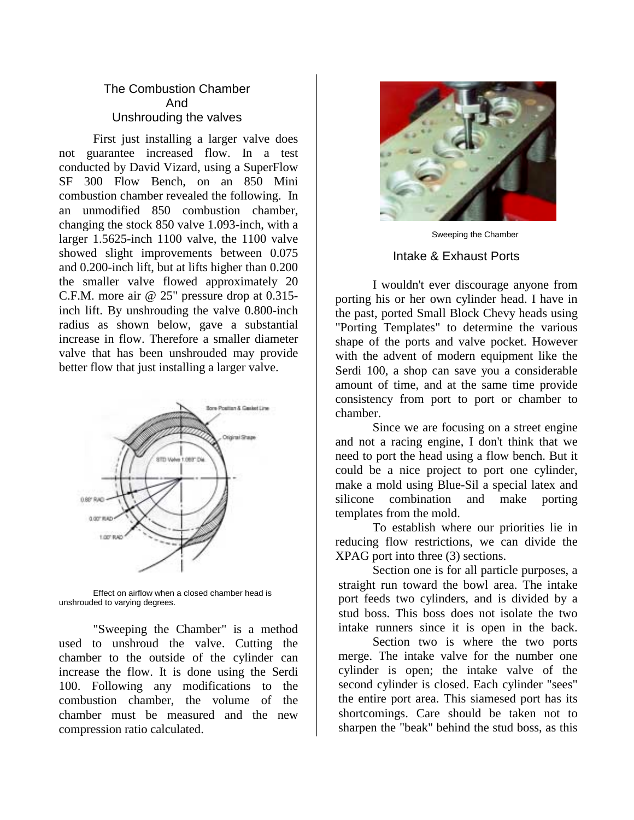#### The Combustion Chamber And Unshrouding the valves

First just installing a larger valve does not guarantee increased flow. In a test conducted by David Vizard, using a SuperFlow SF 300 Flow Bench, on an 850 Mini combustion chamber revealed the following. In an unmodified 850 combustion chamber, changing the stock 850 valve 1.093-inch, with a larger 1.5625-inch 1100 valve, the 1100 valve showed slight improvements between 0.075 and 0.200-inch lift, but at lifts higher than 0.200 the smaller valve flowed approximately 20 C.F.M. more air @ 25" pressure drop at 0.315 inch lift. By unshrouding the valve 0.800-inch radius as shown below, gave a substantial increase in flow. Therefore a smaller diameter valve that has been unshrouded may provide better flow that just installing a larger valve.



Effect on airflow when a closed chamber head is unshrouded to varying degrees.

"Sweeping the Chamber" is a method used to unshroud the valve. Cutting the chamber to the outside of the cylinder can increase the flow. It is done using the Serdi 100. Following any modifications to the combustion chamber, the volume of the chamber must be measured and the new compression ratio calculated.



Sweeping the Chamber Intake & Exhaust Ports

I wouldn't ever discourage anyone from porting his or her own cylinder head. I have in the past, ported Small Block Chevy heads using "Porting Templates" to determine the various shape of the ports and valve pocket. However with the advent of modern equipment like the Serdi 100, a shop can save you a considerable amount of time, and at the same time provide consistency from port to port or chamber to chamber.

 Since we are focusing on a street engine and not a racing engine, I don't think that we need to port the head using a flow bench. But it could be a nice project to port one cylinder, make a mold using Blue-Sil a special latex and silicone combination and make porting templates from the mold.

To establish where our priorities lie in reducing flow restrictions, we can divide the XPAG port into three (3) sections.

Section one is for all particle purposes, a straight run toward the bowl area. The intake port feeds two cylinders, and is divided by a stud boss. This boss does not isolate the two intake runners since it is open in the back.

 Section two is where the two ports merge. The intake valve for the number one cylinder is open; the intake valve of the second cylinder is closed. Each cylinder "sees" the entire port area. This siamesed port has its shortcomings. Care should be taken not to sharpen the "beak" behind the stud boss, as this